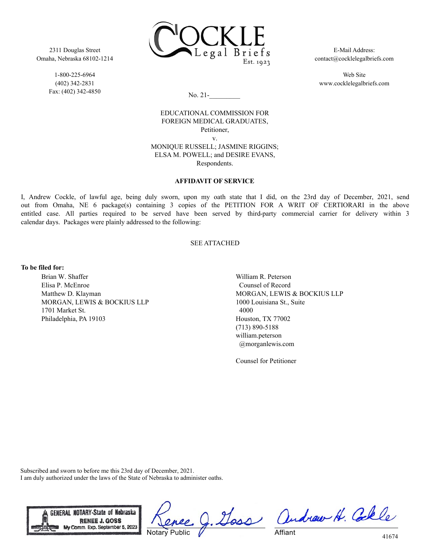2311 Douglas Street Omaha, Nebraska 68102-1214

> 1-800-225-6964 (402) 342-2831 Fax: (402) 342-4850



E-Mail Address: contact@cocklelegalbriefs.com

Web Site www.cocklelegalbriefs.com

No. 21-\_\_\_\_\_\_\_\_\_

EDUCATIONAL COMMISSION FOR FOREIGN MEDICAL GRADUATES, Petitioner, v. MONIQUE RUSSELL; JASMINE RIGGINS;

ELSA M. POWELL; and DESIRE EVANS, Respondents.

## **AFFIDAVIT OF SERVICE**

I, Andrew Cockle, of lawful age, being duly sworn, upon my oath state that I did, on the 23rd day of December, 2021, send out from Omaha, NE 6 package(s) containing 3 copies of the PETITION FOR A WRIT OF CERTIORARI in the above entitled case. All parties required to be served have been served by third-party commercial carrier for delivery within 3 calendar days. Packages were plainly addressed to the following:

## SEE ATTACHED

## **To be filed for:**

Brian W. Shaffer Elisa P. McEnroe Matthew D. Klayman MORGAN, LEWIS & BOCKIUS LLP 1701 Market St. Philadelphia, PA 19103

William R. Peterson Counsel of Record MORGAN, LEWIS & BOCKIUS LLP 1000 Louisiana St., Suite 4000 Houston, TX 77002 (713) 890-5188 william.peterson @morganlewis.com

Counsel for Petitioner

Subscribed and sworn to before me this 23rd day of December, 2021. I am duly authorized under the laws of the State of Nebraska to administer oaths.



Notary Public

Doss andrew H. Colle